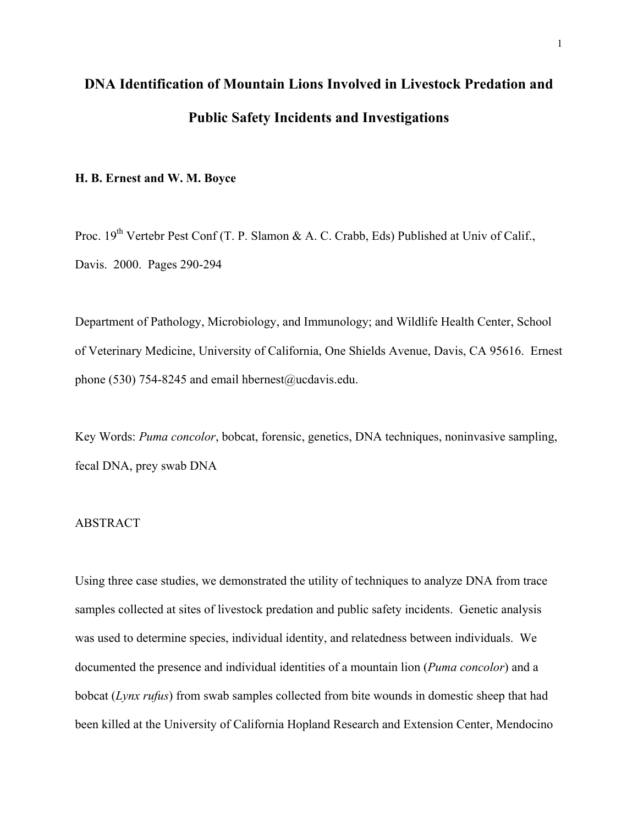# **DNA Identification of Mountain Lions Involved in Livestock Predation and Public Safety Incidents and Investigations**

#### **H. B. Ernest and W. M. Boyce**

Proc. 19<sup>th</sup> Vertebr Pest Conf (T. P. Slamon & A. C. Crabb, Eds) Published at Univ of Calif., Davis. 2000. Pages 290-294

Department of Pathology, Microbiology, and Immunology; and Wildlife Health Center, School of Veterinary Medicine, University of California, One Shields Avenue, Davis, CA 95616. Ernest phone (530) 754-8245 and email [hbernest@ucdavis.edu](mailto:hbernest@ucdavis.edu).

Key Words: *Puma concolor*, bobcat, forensic, genetics, DNA techniques, noninvasive sampling, fecal DNA, prey swab DNA

#### **ABSTRACT**

Using three case studies, we demonstrated the utility of techniques to analyze DNA from trace samples collected at sites of livestock predation and public safety incidents. Genetic analysis was used to determine species, individual identity, and relatedness between individuals. We documented the presence and individual identities of a mountain lion (*Puma concolor*) and a bobcat (*Lynx rufus*) from swab samples collected from bite wounds in domestic sheep that had been killed at the University of California Hopland Research and Extension Center, Mendocino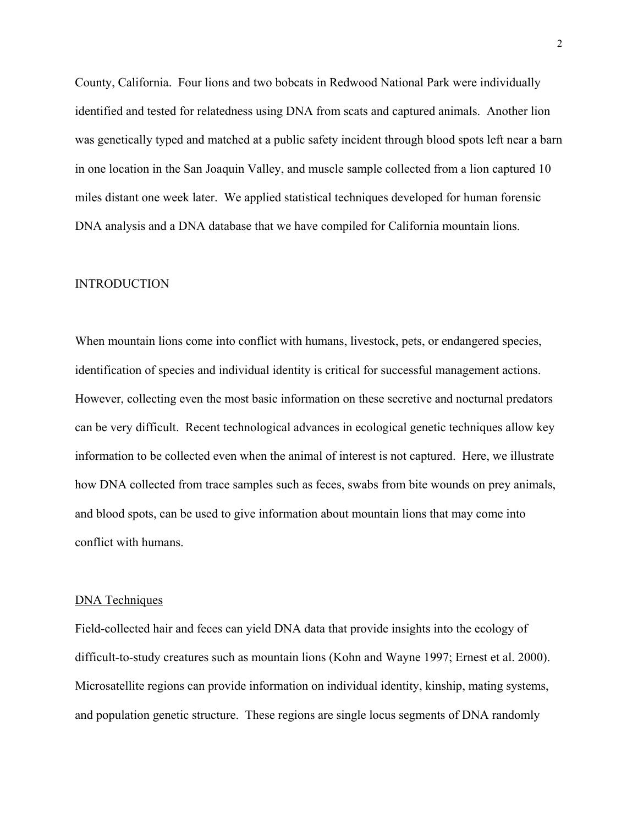County, California. Four lions and two bobcats in Redwood National Park were individually identified and tested for relatedness using DNA from scats and captured animals. Another lion was genetically typed and matched at a public safety incident through blood spots left near a barn in one location in the San Joaquin Valley, and muscle sample collected from a lion captured 10 miles distant one week later. We applied statistical techniques developed for human forensic DNA analysis and a DNA database that we have compiled for California mountain lions.

#### INTRODUCTION

When mountain lions come into conflict with humans, livestock, pets, or endangered species, identification of species and individual identity is critical for successful management actions. However, collecting even the most basic information on these secretive and nocturnal predators can be very difficult. Recent technological advances in ecological genetic techniques allow key information to be collected even when the animal of interest is not captured. Here, we illustrate how DNA collected from trace samples such as feces, swabs from bite wounds on prey animals, and blood spots, can be used to give information about mountain lions that may come into conflict with humans.

#### DNA Techniques

Field-collected hair and feces can yield DNA data that provide insights into the ecology of difficult-to-study creatures such as mountain lions (Kohn and Wayne 1997; Ernest et al. 2000). Microsatellite regions can provide information on individual identity, kinship, mating systems, and population genetic structure. These regions are single locus segments of DNA randomly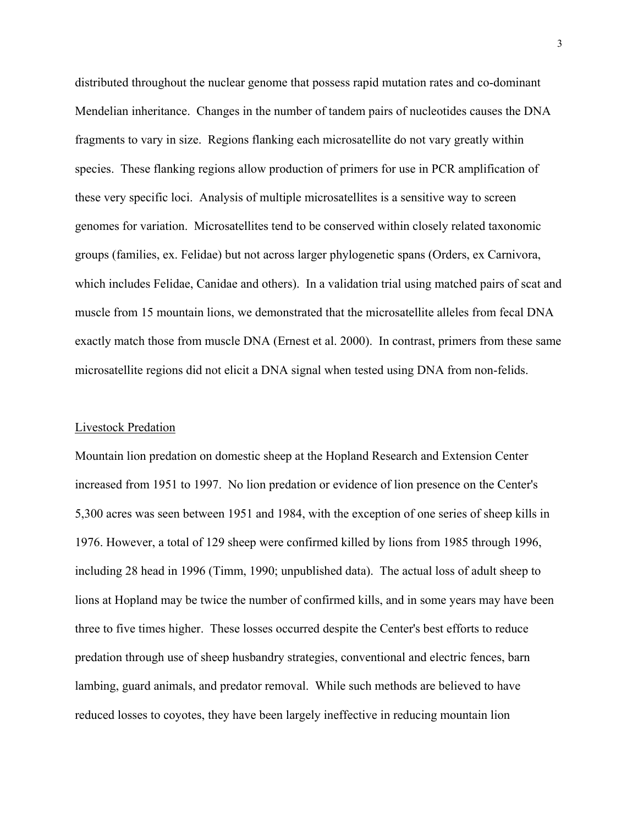distributed throughout the nuclear genome that possess rapid mutation rates and co-dominant Mendelian inheritance. Changes in the number of tandem pairs of nucleotides causes the DNA fragments to vary in size. Regions flanking each microsatellite do not vary greatly within species. These flanking regions allow production of primers for use in PCR amplification of these very specific loci. Analysis of multiple microsatellites is a sensitive way to screen genomes for variation. Microsatellites tend to be conserved within closely related taxonomic groups (families, ex. Felidae) but not across larger phylogenetic spans (Orders, ex Carnivora, which includes Felidae, Canidae and others). In a validation trial using matched pairs of scat and muscle from 15 mountain lions, we demonstrated that the microsatellite alleles from fecal DNA exactly match those from muscle DNA (Ernest et al. 2000). In contrast, primers from these same microsatellite regions did not elicit a DNA signal when tested using DNA from non-felids.

#### Livestock Predation

Mountain lion predation on domestic sheep at the Hopland Research and Extension Center increased from 1951 to 1997. No lion predation or evidence of lion presence on the Center's 5,300 acres was seen between 1951 and 1984, with the exception of one series of sheep kills in 1976. However, a total of 129 sheep were confirmed killed by lions from 1985 through 1996, including 28 head in 1996 (Timm, 1990; unpublished data). The actual loss of adult sheep to lions at Hopland may be twice the number of confirmed kills, and in some years may have been three to five times higher. These losses occurred despite the Center's best efforts to reduce predation through use of sheep husbandry strategies, conventional and electric fences, barn lambing, guard animals, and predator removal. While such methods are believed to have reduced losses to coyotes, they have been largely ineffective in reducing mountain lion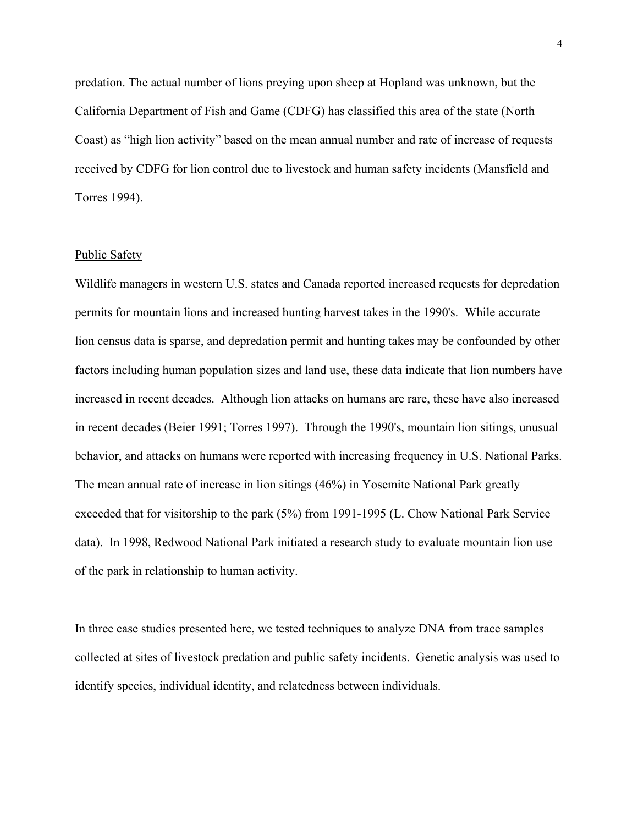predation. The actual number of lions preying upon sheep at Hopland was unknown, but the California Department of Fish and Game (CDFG) has classified this area of the state (North Coast) as "high lion activity" based on the mean annual number and rate of increase of requests received by CDFG for lion control due to livestock and human safety incidents (Mansfield and Torres 1994).

#### Public Safety

Wildlife managers in western U.S. states and Canada reported increased requests for depredation permits for mountain lions and increased hunting harvest takes in the 1990's. While accurate lion census data is sparse, and depredation permit and hunting takes may be confounded by other factors including human population sizes and land use, these data indicate that lion numbers have increased in recent decades. Although lion attacks on humans are rare, these have also increased in recent decades (Beier 1991; Torres 1997). Through the 1990's, mountain lion sitings, unusual behavior, and attacks on humans were reported with increasing frequency in U.S. National Parks. The mean annual rate of increase in lion sitings (46%) in Yosemite National Park greatly exceeded that for visitorship to the park (5%) from 1991-1995 (L. Chow National Park Service data). In 1998, Redwood National Park initiated a research study to evaluate mountain lion use of the park in relationship to human activity.

In three case studies presented here, we tested techniques to analyze DNA from trace samples collected at sites of livestock predation and public safety incidents. Genetic analysis was used to identify species, individual identity, and relatedness between individuals.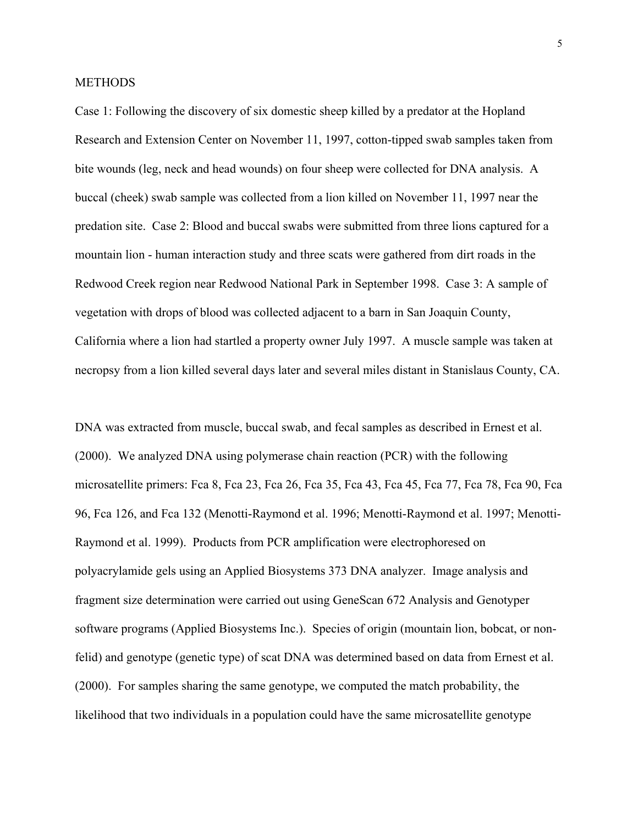#### **METHODS**

Case 1: Following the discovery of six domestic sheep killed by a predator at the Hopland Research and Extension Center on November 11, 1997, cotton-tipped swab samples taken from bite wounds (leg, neck and head wounds) on four sheep were collected for DNA analysis. A buccal (cheek) swab sample was collected from a lion killed on November 11, 1997 near the predation site. Case 2: Blood and buccal swabs were submitted from three lions captured for a mountain lion - human interaction study and three scats were gathered from dirt roads in the Redwood Creek region near Redwood National Park in September 1998. Case 3: A sample of vegetation with drops of blood was collected adjacent to a barn in San Joaquin County, California where a lion had startled a property owner July 1997. A muscle sample was taken at necropsy from a lion killed several days later and several miles distant in Stanislaus County, CA.

DNA was extracted from muscle, buccal swab, and fecal samples as described in Ernest et al. (2000). We analyzed DNA using polymerase chain reaction (PCR) with the following microsatellite primers: Fca 8, Fca 23, Fca 26, Fca 35, Fca 43, Fca 45, Fca 77, Fca 78, Fca 90, Fca 96, Fca 126, and Fca 132 (Menotti-Raymond et al. 1996; Menotti-Raymond et al. 1997; Menotti-Raymond et al. 1999). Products from PCR amplification were electrophoresed on polyacrylamide gels using an Applied Biosystems 373 DNA analyzer. Image analysis and fragment size determination were carried out using GeneScan 672 Analysis and Genotyper software programs (Applied Biosystems Inc.). Species of origin (mountain lion, bobcat, or nonfelid) and genotype (genetic type) of scat DNA was determined based on data from Ernest et al. (2000). For samples sharing the same genotype, we computed the match probability, the likelihood that two individuals in a population could have the same microsatellite genotype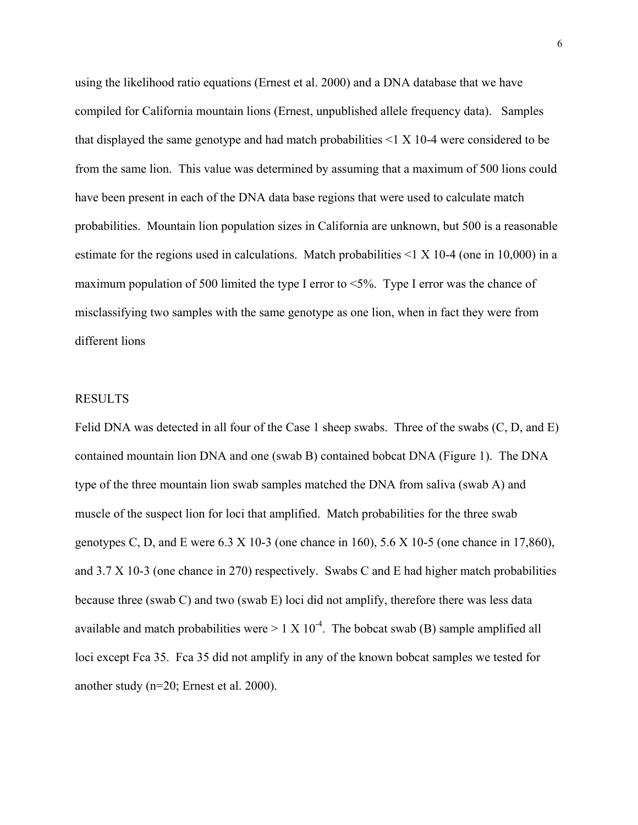using the likelihood ratio equations (Ernest et al. 2000) and a DNA database that we have compiled for California mountain lions (Ernest, unpublished allele frequency data). Samples that displayed the same genotype and had match probabilities  $\leq 1 \times 10^{-4}$  were considered to be from the same lion. This value was determined by assuming that a maximum of 500 lions could have been present in each of the DNA data base regions that were used to calculate match probabilities. Mountain lion population sizes in California are unknown, but 500 is a reasonable estimate for the regions used in calculations. Match probabilities  $\leq 1 \times 10^{-4}$  (one in 10,000) in a maximum population of 500 limited the type I error to  $\leq 5\%$ . Type I error was the chance of misclassifying two samples with the same genotype as one lion, when in fact they were from different lions

#### RESULTS

Felid DNA was detected in all four of the Case 1 sheep swabs. Three of the swabs  $(C, D, and E)$ contained mountain lion DNA and one (swab B) contained bobcat DNA (Figure 1). The DNA type of the three mountain lion swab samples matched the DNA from saliva (swab A) and muscle of the suspect lion for loci that amplified. Match probabilities for the three swab genotypes C, D, and E were  $6.3 \times 10^{-3}$  (one chance in 160),  $5.6 \times 10^{-5}$  (one chance in 17,860), and 3.7 X 10-3 (one chance in 270) respectively. Swabs C and E had higher match probabilities because three (swab C) and two (swab E) loci did not amplify, therefore there was less data available and match probabilities were  $> 1 \times 10^{-4}$ . The bobcat swab (B) sample amplified all loci except Fca 35. Fca 35 did not amplify in any of the known bobcat samples we tested for another study (n=20; Ernest et al. 2000).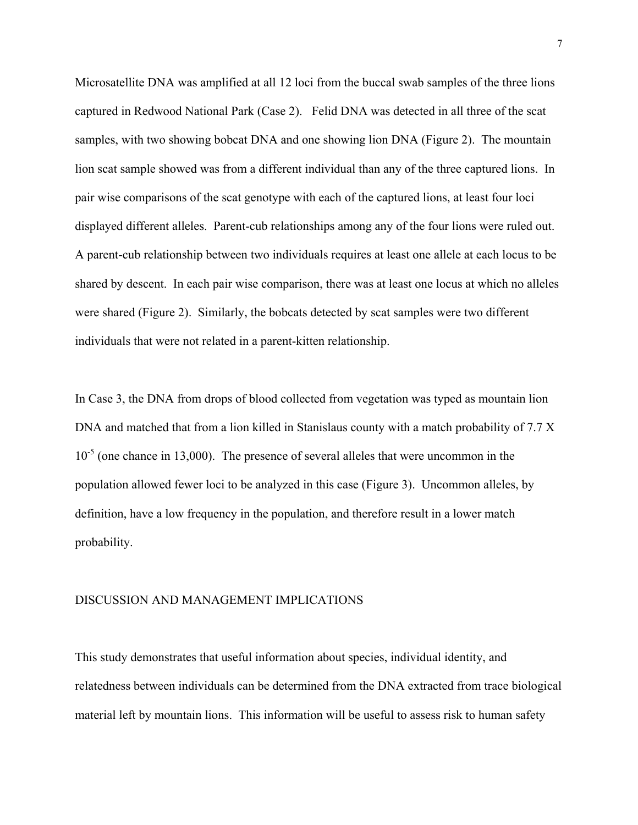Microsatellite DNA was amplified at all 12 loci from the buccal swab samples of the three lions captured in Redwood National Park (Case 2). Felid DNA was detected in all three of the scat samples, with two showing bobcat DNA and one showing lion DNA (Figure 2). The mountain lion scat sample showed was from a different individual than any of the three captured lions. In pair wise comparisons of the scat genotype with each of the captured lions, at least four loci displayed different alleles. Parent-cub relationships among any of the four lions were ruled out. A parent-cub relationship between two individuals requires at least one allele at each locus to be shared by descent. In each pair wise comparison, there was at least one locus at which no alleles were shared (Figure 2). Similarly, the bobcats detected by scat samples were two different individuals that were not related in a parent-kitten relationship.

In Case 3, the DNA from drops of blood collected from vegetation was typed as mountain lion DNA and matched that from a lion killed in Stanislaus county with a match probability of 7.7 X  $10^{-5}$  (one chance in 13,000). The presence of several alleles that were uncommon in the population allowed fewer loci to be analyzed in this case (Figure 3). Uncommon alleles, by definition, have a low frequency in the population, and therefore result in a lower match probability.

#### DISCUSSION AND MANAGEMENT IMPLICATIONS

This study demonstrates that useful information about species, individual identity, and relatedness between individuals can be determined from the DNA extracted from trace biological material left by mountain lions. This information will be useful to assess risk to human safety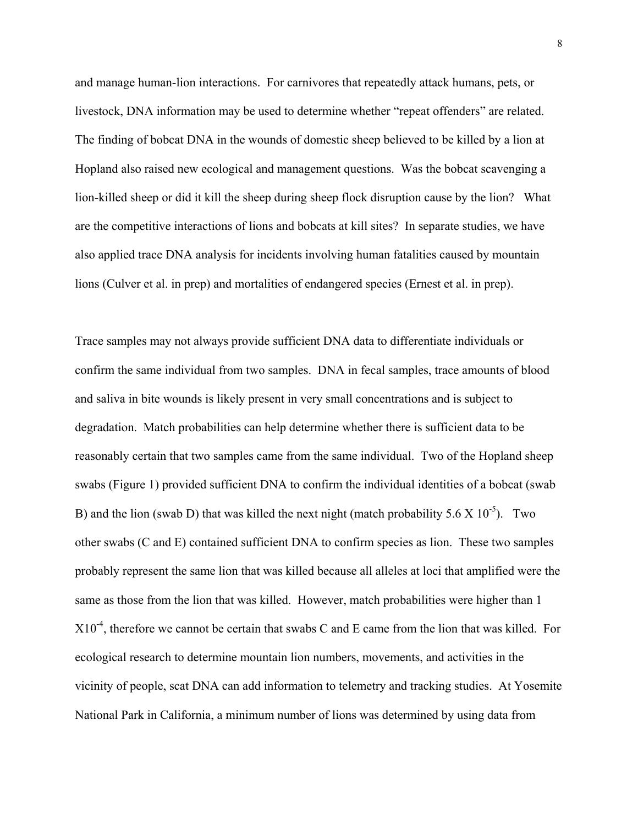and manage human-lion interactions. For carnivores that repeatedly attack humans, pets, or livestock, DNA information may be used to determine whether "repeat offenders" are related. The finding of bobcat DNA in the wounds of domestic sheep believed to be killed by a lion at Hopland also raised new ecological and management questions. Was the bobcat scavenging a lion-killed sheep or did it kill the sheep during sheep flock disruption cause by the lion? What are the competitive interactions of lions and bobcats at kill sites? In separate studies, we have also applied trace DNA analysis for incidents involving human fatalities caused by mountain lions (Culver et al. in prep) and mortalities of endangered species (Ernest et al. in prep).

Trace samples may not always provide sufficient DNA data to differentiate individuals or confirm the same individual from two samples. DNA in fecal samples, trace amounts of blood and saliva in bite wounds is likely present in very small concentrations and is subject to degradation. Match probabilities can help determine whether there is sufficient data to be reasonably certain that two samples came from the same individual. Two of the Hopland sheep swabs (Figure 1) provided sufficient DNA to confirm the individual identities of a bobcat (swab B) and the lion (swab D) that was killed the next night (match probability  $5.6 \times 10^{-5}$ ). Two other swabs (C and E) contained sufficient DNA to confirm species as lion. These two samples probably represent the same lion that was killed because all alleles at loci that amplified were the same as those from the lion that was killed. However, match probabilities were higher than 1  $X10^{-4}$ , therefore we cannot be certain that swabs C and E came from the lion that was killed. For ecological research to determine mountain lion numbers, movements, and activities in the vicinity of people, scat DNA can add information to telemetry and tracking studies. At Yosemite National Park in California, a minimum number of lions was determined by using data from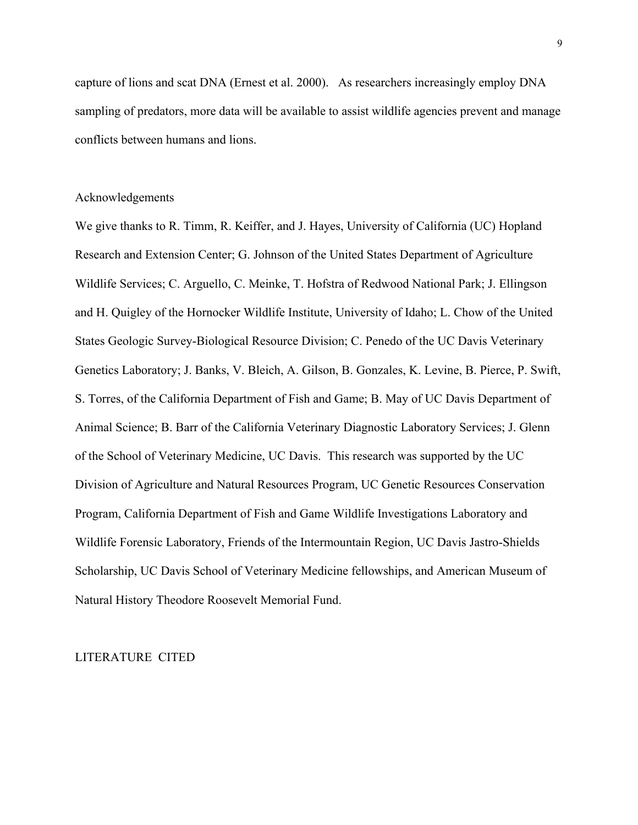capture of lions and scat DNA (Ernest et al. 2000). As researchers increasingly employ DNA sampling of predators, more data will be available to assist wildlife agencies prevent and manage conflicts between humans and lions.

#### Acknowledgements

We give thanks to R. Timm, R. Keiffer, and J. Hayes, University of California (UC) Hopland Research and Extension Center; G. Johnson of the United States Department of Agriculture Wildlife Services; C. Arguello, C. Meinke, T. Hofstra of Redwood National Park; J. Ellingson and H. Quigley of the Hornocker Wildlife Institute, University of Idaho; L. Chow of the United States Geologic Survey-Biological Resource Division; C. Penedo of the UC Davis Veterinary Genetics Laboratory; J. Banks, V. Bleich, A. Gilson, B. Gonzales, K. Levine, B. Pierce, P. Swift, S. Torres, of the California Department of Fish and Game; B. May of UC Davis Department of Animal Science; B. Barr of the California Veterinary Diagnostic Laboratory Services; J. Glenn of the School of Veterinary Medicine, UC Davis. This research was supported by the UC Division of Agriculture and Natural Resources Program, UC Genetic Resources Conservation Program, California Department of Fish and Game Wildlife Investigations Laboratory and Wildlife Forensic Laboratory, Friends of the Intermountain Region, UC Davis Jastro-Shields Scholarship, UC Davis School of Veterinary Medicine fellowships, and American Museum of Natural History Theodore Roosevelt Memorial Fund.

#### LITERATURE CITED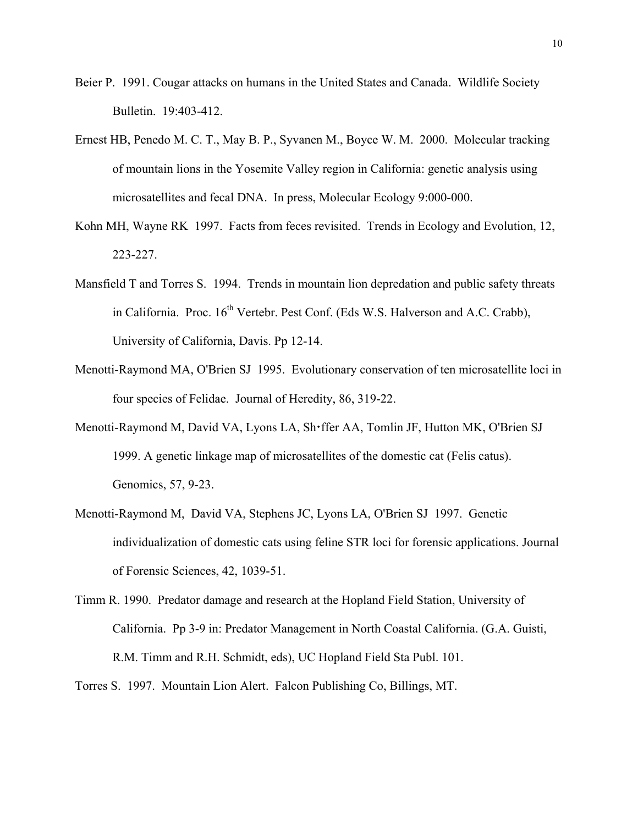- Beier P. 1991. Cougar attacks on humans in the United States and Canada. Wildlife Society Bulletin. 19:403-412.
- Ernest HB, Penedo M. C. T., May B. P., Syvanen M., Boyce W. M. 2000. Molecular tracking of mountain lions in the Yosemite Valley region in California: genetic analysis using microsatellites and fecal DNA. In press, Molecular Ecology 9:000-000.
- Kohn MH, Wayne RK 1997. Facts from feces revisited. Trends in Ecology and Evolution, 12, 223-227.
- Mansfield T and Torres S. 1994. Trends in mountain lion depredation and public safety threats in California. Proc.  $16<sup>th</sup>$  Vertebr. Pest Conf. (Eds W.S. Halverson and A.C. Crabb), University of California, Davis. Pp 12-14.
- Menotti-Raymond MA, O'Brien SJ 1995. Evolutionary conservation of ten microsatellite loci in four species of Felidae. Journal of Heredity, 86, 319-22.
- Menotti-Raymond M, David VA, Lyons LA, Sh·ffer AA, Tomlin JF, Hutton MK, O'Brien SJ 1999. A genetic linkage map of microsatellites of the domestic cat (Felis catus). Genomics, 57, 9-23.
- Menotti-Raymond M, David VA, Stephens JC, Lyons LA, O'Brien SJ 1997. Genetic individualization of domestic cats using feline STR loci for forensic applications. Journal of Forensic Sciences, 42, 1039-51.
- Timm R. 1990. Predator damage and research at the Hopland Field Station, University of California. Pp 3-9 in: Predator Management in North Coastal California. (G.A. Guisti, R.M. Timm and R.H. Schmidt, eds), UC Hopland Field Sta Publ. 101.
- Torres S. 1997. Mountain Lion Alert. Falcon Publishing Co, Billings, MT.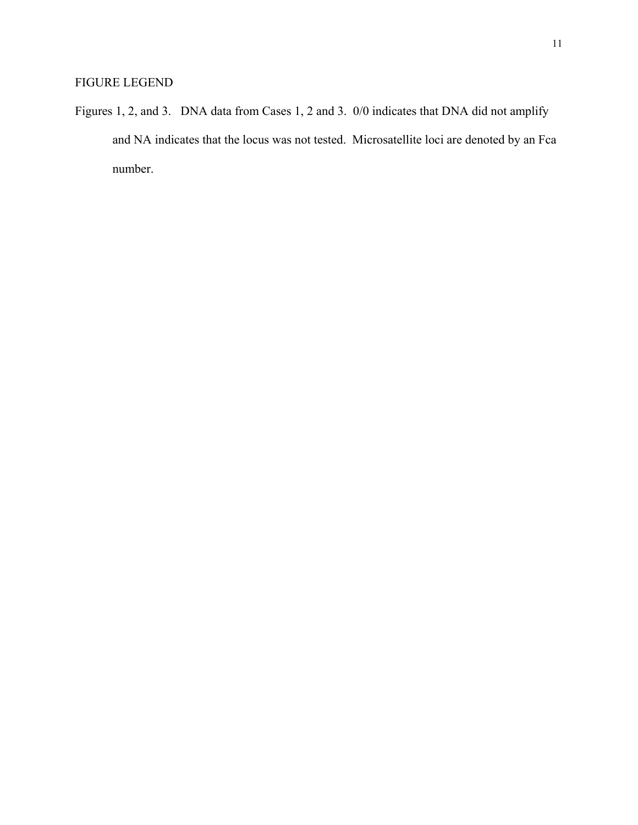Figures 1, 2, and 3. DNA data from Cases 1, 2 and 3. 0/0 indicates that DNA did not amplify and NA indicates that the locus was not tested. Microsatellite loci are denoted by an Fca number.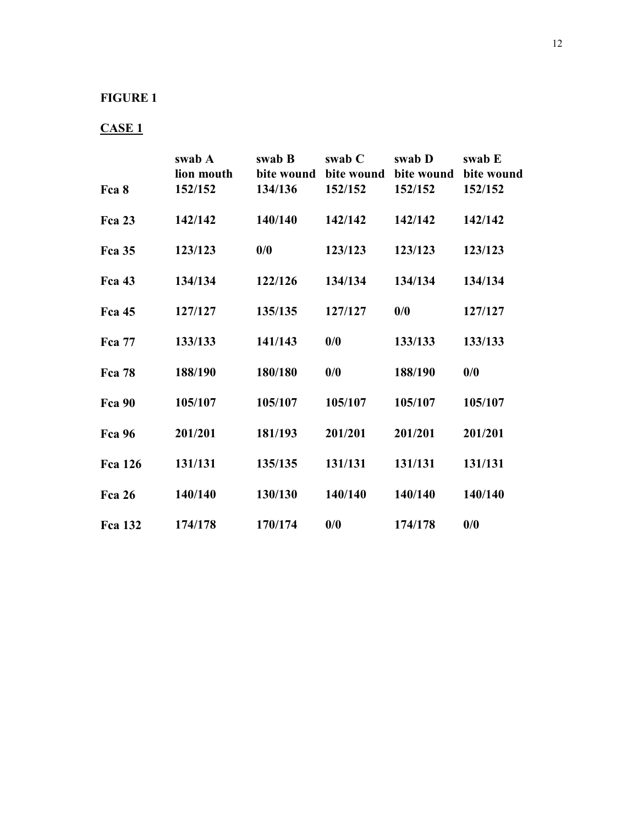### **FIGURE 1**

## **CASE 1**

|                | swab A                | swab B                | swab C                  | swab D                  | swab E                |
|----------------|-----------------------|-----------------------|-------------------------|-------------------------|-----------------------|
| Fca 8          | lion mouth<br>152/152 | bite wound<br>134/136 | bite wound<br>152/152   | bite wound<br>152/152   | bite wound<br>152/152 |
|                |                       |                       |                         |                         |                       |
| <b>Fca 23</b>  | 142/142               | 140/140               | 142/142                 | 142/142                 | 142/142               |
| <b>Fca 35</b>  | 123/123               | 0/0                   | 123/123                 | 123/123                 | 123/123               |
| <b>Fca</b> 43  | 134/134               | 122/126               | 134/134                 | 134/134                 | 134/134               |
| <b>Fca</b> 45  | 127/127               | 135/135               | 127/127                 | $\mathbf{0}/\mathbf{0}$ | 127/127               |
| <b>Fca</b> 77  | 133/133               | 141/143               | $\mathbf{0}/\mathbf{0}$ | 133/133                 | 133/133               |
| <b>Fca</b> 78  | 188/190               | 180/180               | $\frac{0}{0}$           | 188/190                 | $\frac{0}{0}$         |
| <b>Fca 90</b>  | 105/107               | 105/107               | 105/107                 | 105/107                 | 105/107               |
| <b>Fca 96</b>  | 201/201               | 181/193               | 201/201                 | 201/201                 | 201/201               |
| <b>Fca</b> 126 | 131/131               | 135/135               | 131/131                 | 131/131                 | 131/131               |
| <b>Fca 26</b>  | 140/140               | 130/130               | 140/140                 | 140/140                 | 140/140               |
| <b>Fca</b> 132 | 174/178               | 170/174               | 0/0                     | 174/178                 | 0/0                   |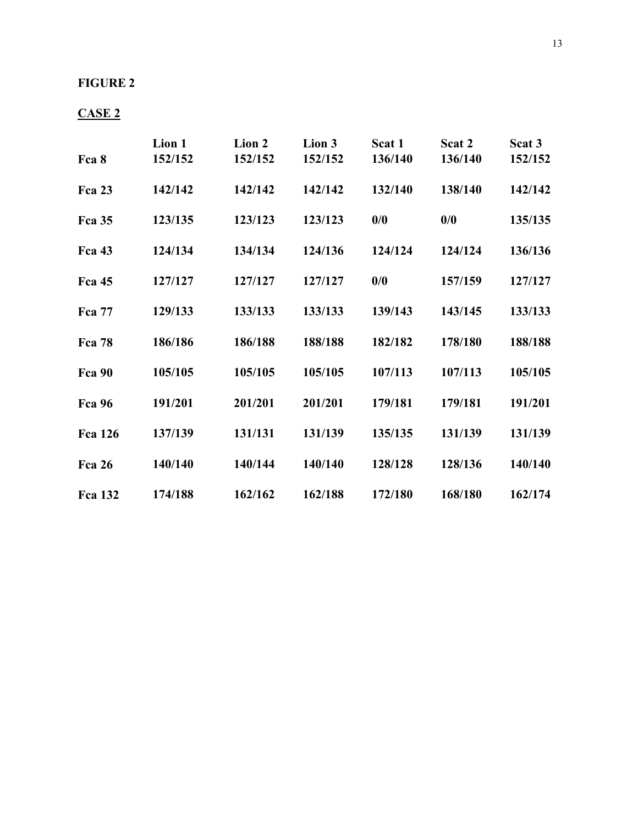### **FIGURE 2**

## **CASE 2**

|                | Lion 1  | Lion 2  | Lion 3  | Scat 1  | Scat 2  | Scat 3  |
|----------------|---------|---------|---------|---------|---------|---------|
| Fca 8          | 152/152 | 152/152 | 152/152 | 136/140 | 136/140 | 152/152 |
| Fca 23         | 142/142 | 142/142 | 142/142 | 132/140 | 138/140 | 142/142 |
| Fca 35         | 123/135 | 123/123 | 123/123 | 0/0     | 0/0     | 135/135 |
| <b>Fca 43</b>  | 124/134 | 134/134 | 124/136 | 124/124 | 124/124 | 136/136 |
| <b>Fca 45</b>  | 127/127 | 127/127 | 127/127 | 0/0     | 157/159 | 127/127 |
| <b>Fca 77</b>  | 129/133 | 133/133 | 133/133 | 139/143 | 143/145 | 133/133 |
| <b>Fca 78</b>  | 186/186 | 186/188 | 188/188 | 182/182 | 178/180 | 188/188 |
| Fca 90         | 105/105 | 105/105 | 105/105 | 107/113 | 107/113 | 105/105 |
| <b>Fca 96</b>  | 191/201 | 201/201 | 201/201 | 179/181 | 179/181 | 191/201 |
| <b>Fca</b> 126 | 137/139 | 131/131 | 131/139 | 135/135 | 131/139 | 131/139 |
| Fca 26         | 140/140 | 140/144 | 140/140 | 128/128 | 128/136 | 140/140 |
| <b>Fca 132</b> | 174/188 | 162/162 | 162/188 | 172/180 | 168/180 | 162/174 |